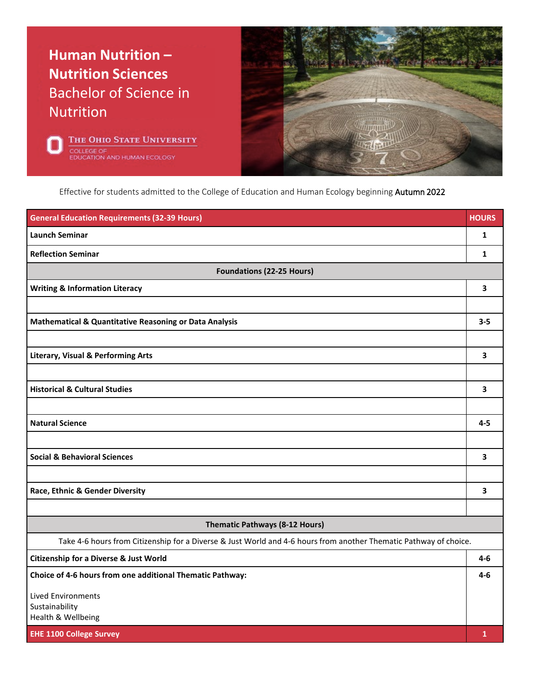## **Human Nutrition – Nutrition Sciences** Bachelor of Science in Nutrition





Effective for students admitted to the College of Education and Human Ecology beginning Autumn 2022

| <b>General Education Requirements (32-39 Hours)</b>                                                               | <b>HOURS</b> |
|-------------------------------------------------------------------------------------------------------------------|--------------|
| <b>Launch Seminar</b>                                                                                             | 1            |
| <b>Reflection Seminar</b>                                                                                         | 1            |
| <b>Foundations (22-25 Hours)</b>                                                                                  |              |
| <b>Writing &amp; Information Literacy</b>                                                                         | 3            |
|                                                                                                                   |              |
| Mathematical & Quantitative Reasoning or Data Analysis                                                            | $3 - 5$      |
|                                                                                                                   |              |
| <b>Literary, Visual &amp; Performing Arts</b>                                                                     | 3            |
|                                                                                                                   |              |
| <b>Historical &amp; Cultural Studies</b>                                                                          | 3            |
|                                                                                                                   |              |
| <b>Natural Science</b>                                                                                            | $4 - 5$      |
|                                                                                                                   |              |
| <b>Social &amp; Behavioral Sciences</b>                                                                           | 3            |
|                                                                                                                   |              |
| Race, Ethnic & Gender Diversity                                                                                   | 3            |
|                                                                                                                   |              |
| Thematic Pathways (8-12 Hours)                                                                                    |              |
| Take 4-6 hours from Citizenship for a Diverse & Just World and 4-6 hours from another Thematic Pathway of choice. |              |
| <b>Citizenship for a Diverse &amp; Just World</b>                                                                 | 4-6          |
| Choice of 4-6 hours from one additional Thematic Pathway:                                                         | 4-6          |
| <b>Lived Environments</b>                                                                                         |              |
| Sustainability<br>Health & Wellbeing                                                                              |              |
| <b>EHE 1100 College Survey</b>                                                                                    | 1            |